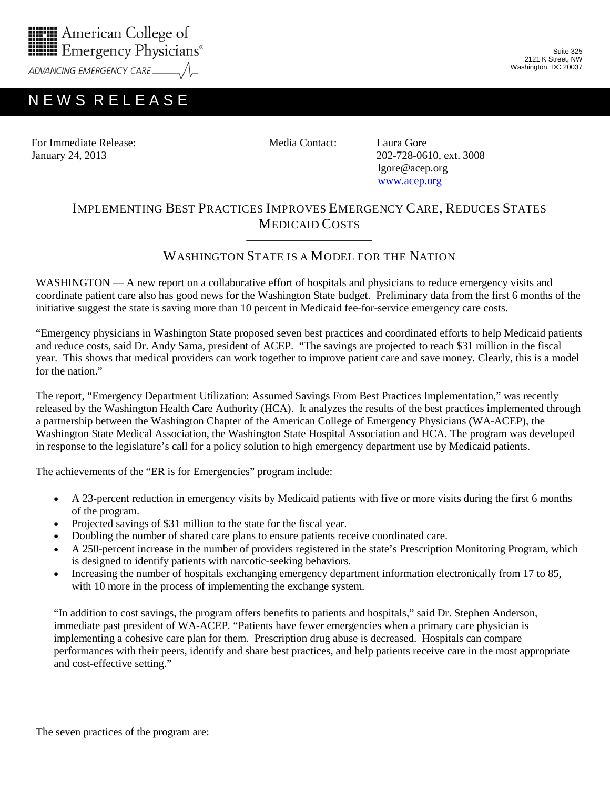

ADVANCING EMERGENCY CARE

## N E W S R E L E A S E

Suite 325 2121 K Street, NW Washington, DC 20037

For Immediate Release: Media Contact: Laura Gore January 24, 2013 202-728-0610, ext. 3008

 lgore@acep.org [www.acep.org](http://www.acep.org/)

## IMPLEMENTING BEST PRACTICES IMPROVES EMERGENCY CARE, REDUCES STATES MEDICAID COSTS

## ————————— WASHINGTON STATE IS A MODEL FOR THE NATION

WASHINGTON — A new report on a collaborative effort of hospitals and physicians to reduce emergency visits and coordinate patient care also has good news for the Washington State budget. Preliminary data from the first 6 months of the initiative suggest the state is saving more than 10 percent in Medicaid fee-for-service emergency care costs.

"Emergency physicians in Washington State proposed seven best practices and coordinated efforts to help Medicaid patients and reduce costs, said Dr. Andy Sama, president of ACEP. "The savings are projected to reach \$31 million in the fiscal year. This shows that medical providers can work together to improve patient care and save money. Clearly, this is a model for the nation"

The report, "Emergency Department Utilization: Assumed Savings From Best Practices Implementation," was recently released by the Washington Health Care Authority (HCA). It analyzes the results of the best practices implemented through a partnership between the Washington Chapter of the American College of Emergency Physicians (WA-ACEP), the Washington State Medical Association, the Washington State Hospital Association and HCA. The program was developed in response to the legislature's call for a policy solution to high emergency department use by Medicaid patients.

The achievements of the "ER is for Emergencies" program include:

- A 23-percent reduction in emergency visits by Medicaid patients with five or more visits during the first 6 months of the program.
- Projected savings of \$31 million to the state for the fiscal year.
- Doubling the number of shared care plans to ensure patients receive coordinated care.
- A 250-percent increase in the number of providers registered in the state's Prescription Monitoring Program, which is designed to identify patients with narcotic-seeking behaviors.
- Increasing the number of hospitals exchanging emergency department information electronically from 17 to 85, with 10 more in the process of implementing the exchange system.

"In addition to cost savings, the program offers benefits to patients and hospitals," said Dr. Stephen Anderson, immediate past president of WA-ACEP*.* "Patients have fewer emergencies when a primary care physician is implementing a cohesive care plan for them. Prescription drug abuse is decreased. Hospitals can compare performances with their peers, identify and share best practices, and help patients receive care in the most appropriate and cost-effective setting."

The seven practices of the program are: